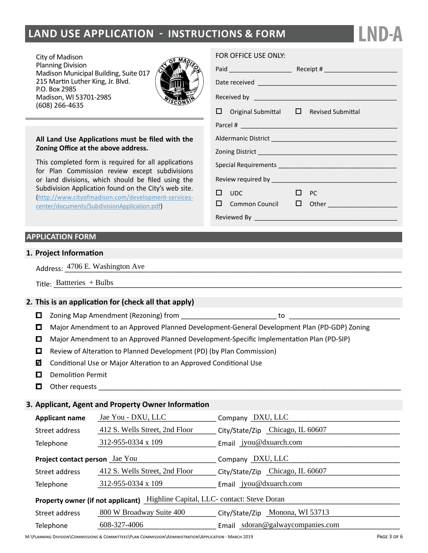## **land Use Application - instructions & form**

City of Madison Planning Division Madison Municipal Building, Suite 017 215 Martin Luther King, Jr. Blvd. P.O. Box 2985 Madison, WI 53701-2985 (608) 266-4635



#### **All Land Use Applications must be filed with the Zoning Office at the above address.**

This completed form is required for all applications for Plan Commission review except subdivisions or land divisions, which should be filed using the Subdivision Application found on the City's web site. ([http://www.cityofmadison.com/development-services](http://www.cityofmadison.com/development-services-center/documents/SubdivisionApplication.pdf)[center/documents/SubdivisionApplication.pdf\)](http://www.cityofmadison.com/development-services-center/documents/SubdivisionApplication.pdf)

#### **APPLICATION FORM**

#### **1. Project Information**

Address:  $\frac{4706 \text{ E.}$  Washington Ave 2008 and 2008 and 2008 and 2008 and 2008 and 2008 and 2008 and 2008 and 2008 and 2008 and 2008 and 2008 and 2008 and 2008 and 2008 and 2008 and 2008 and 2008 and 2008 and 2008 and 20

| Title<br>⊡uuene. |  |
|------------------|--|
|------------------|--|

#### **2. This is an application for (check all that apply)**

- Zoning Map Amendment (Rezoning) from \_\_\_\_\_\_\_\_\_\_\_\_\_\_\_\_\_\_\_\_\_\_\_\_\_ to \_\_\_\_\_\_\_\_\_\_\_\_\_\_\_\_\_\_\_\_\_\_\_\_\_\_\_\_\_
- Major Amendment to an Approved Planned Development-General Development Plan (PD-GDP) Zoning
- Major Amendment to an Approved Planned Development-Specific Implementation Plan (PD-SIP)
- $\Box$  Review of Alteration to Planned Development (PD) (by Plan Commission)
- $\blacksquare$  Conditional Use or Major Alteration to an Approved Conditional Use
- D Demolition Permit
- $\Box$  Other requests

#### **3. Applicant, Agent and Property Owner Information**

| <b>Applicant name</b>                                                         | Jae You - DXU, LLC             | Company DXU, LLC                 |  |  |  |  |
|-------------------------------------------------------------------------------|--------------------------------|----------------------------------|--|--|--|--|
| Street address                                                                | 412 S. Wells Street, 2nd Floor | City/State/Zip Chicago, IL 60607 |  |  |  |  |
| Telephone                                                                     | 312-955-0334 x 109             | Email jyou@dxuarch.com           |  |  |  |  |
| Project contact person Jae You                                                |                                | Company DXU, LLC                 |  |  |  |  |
| Street address                                                                | 412 S. Wells Street, 2nd Floor | City/State/Zip Chicago, IL 60607 |  |  |  |  |
| Telephone                                                                     | 312-955-0334 x 109             | Email jyou@dxuarch.com           |  |  |  |  |
| Property owner (if not applicant) Highline Capital, LLC- contact: Steve Doran |                                |                                  |  |  |  |  |
| Street address                                                                | 800 W Broadway Suite 400       | City/State/Zip Monona, WI 53713  |  |  |  |  |
| Telephone                                                                     | 608-327-4006                   | Email sdoran@galwaycompanies.com |  |  |  |  |

FOR OFFICE USE ONLY:

|  | $\Box$ Original Submittal $\Box$ Revised Submittal |  |                                             |  |
|--|----------------------------------------------------|--|---------------------------------------------|--|
|  |                                                    |  |                                             |  |
|  |                                                    |  |                                             |  |
|  |                                                    |  |                                             |  |
|  |                                                    |  |                                             |  |
|  |                                                    |  |                                             |  |
|  | $\Box$ UDC $\Box$                                  |  | $\Box$ PC                                   |  |
|  |                                                    |  | □ Common Council □ Other __________________ |  |
|  |                                                    |  |                                             |  |

**LND-A**